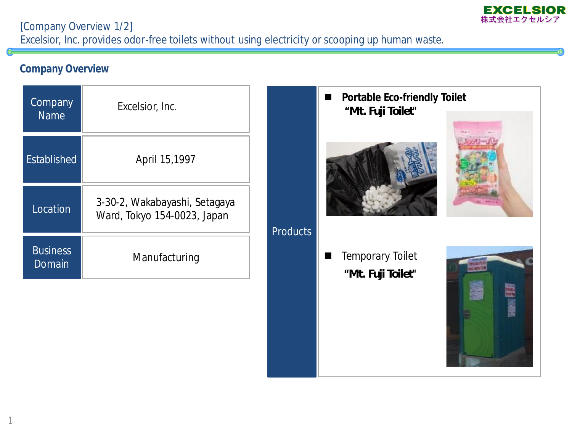

[Company Overview 1/2] Excelsior, Inc. provides odor-free toilets without using electricity or scooping up human waste.

## **Company Overview**

| Company<br><b>Name</b>    | Excelsior, Inc.                                              |                 |  |
|---------------------------|--------------------------------------------------------------|-----------------|--|
| <b>Established</b>        | April 15,1997                                                |                 |  |
| Location                  | 3-30-2, Wakabayashi, Setagaya<br>Ward, Tokyo 154-0023, Japan | <b>Products</b> |  |
| <b>Business</b><br>Domain | Manufacturing                                                |                 |  |



**Portable Eco-friendly Toilet**

 Temporary Toilet **"***Mt. Fuji Toilet***"**

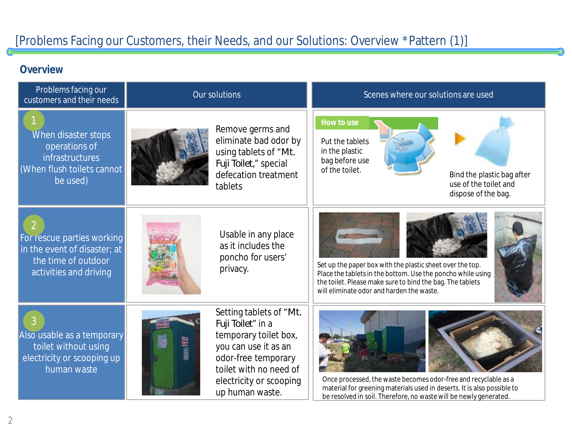## **Overview**